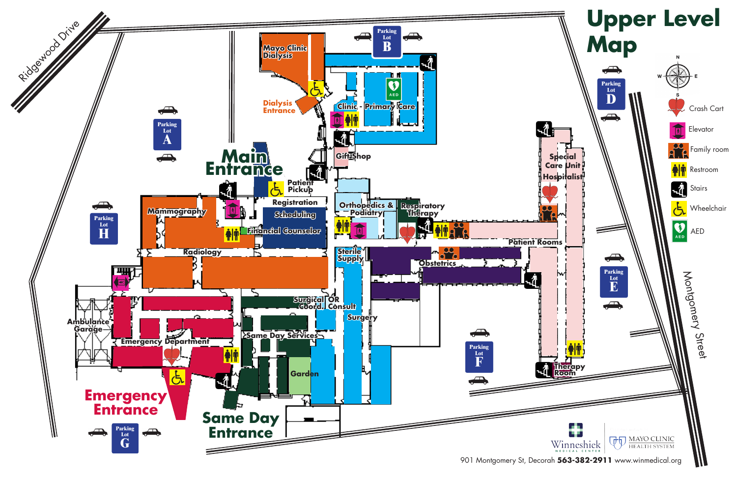